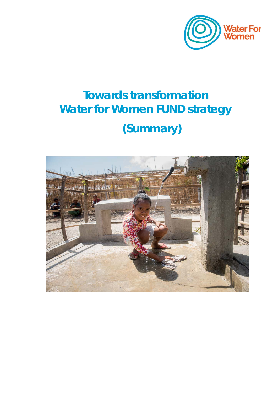

# **Towards transformation Water for Women FUND strategy**  *(Summary)*

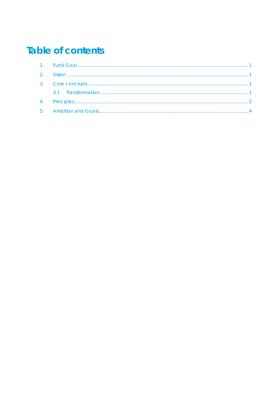# **Table of contents**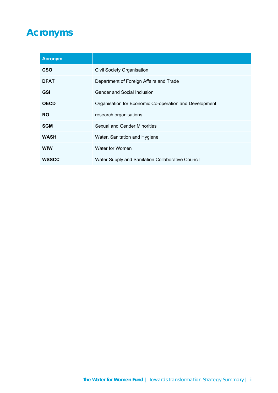# **Acronyms**

| <b>Acronym</b> |                                                        |
|----------------|--------------------------------------------------------|
| <b>CSO</b>     | <b>Civil Society Organisation</b>                      |
| <b>DFAT</b>    | Department of Foreign Affairs and Trade                |
| <b>GSI</b>     | Gender and Social Inclusion                            |
| <b>OECD</b>    | Organisation for Economic Co-operation and Development |
| <b>RO</b>      | research organisations                                 |
| <b>SGM</b>     | Sexual and Gender Minorities                           |
| <b>WASH</b>    | Water, Sanitation and Hygiene                          |
| <b>WfW</b>     | Water for Women                                        |
| <b>WSSCC</b>   | Water Supply and Sanitation Collaborative Council      |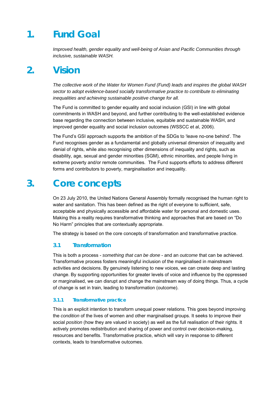### **1. Fund Goal**

*Improved health, gender equality and well-being of Asian and Pacific Communities through inclusive, sustainable WASH.*

### **2. Vision**

*The collective work of the Water for Women Fund (Fund) leads and inspires the global WASH sector to adopt evidence-based socially transformative practice to contribute to eliminating inequalities and achieving sustainable positive change for all.* 

The Fund is committed to gender equality and social inclusion (GSI) in line with global commitments in WASH and beyond, and further contributing to the well-established evidence base regarding the connection between inclusive, equitable and sustainable WASH, and improved gender equality and social inclusion outcomes (WSSCC et al, 2006).

The Fund's GSI approach supports the ambition of the SDGs to 'leave no-one behind'. The Fund recognises gender as a fundamental and globally universal dimension of inequality and denial of rights, while also recognising other dimensions of inequality and rights, such as disability, age, sexual and gender minorities (SGM), ethnic minorities, and people living in extreme poverty and/or remote communities. The Fund supports efforts to address different forms and contributors to poverty, marginalisation and inequality.

### **3. Core concepts**

On 23 July 2010, the United Nations General Assembly formally recognised the human right to water and sanitation. This has been defined as the right of everyone to sufficient, safe, acceptable and physically accessible and affordable water for personal and domestic uses. Making this a reality requires transformative thinking and approaches that are based on "Do No Harm" principles that are contextually appropriate.

The strategy is based on the core concepts of transformation and transformative practice.

### **3.1 Transformation**

This is both a process - *something that can be done* - and an *outcome* that can be achieved. Transformative process fosters meaningful inclusion of the marginalised in mainstream activities and decisions. By genuinely listening to new voices, we can create deep and lasting change. By supporting opportunities for greater levels of voice and influence by the oppressed or marginalised, we can disrupt and change the mainstream way of doing things. Thus, a cycle of change is set in train, leading to transformation (outcome).

### **3.1.1 Transformative practice**

This is an explicit intention to transform unequal power relations. This goes beyond improving the *condition* of the lives of women and other marginalised groups. It seeks to improve their social *position* (how they are valued in society) as well as the full realisation of their rights. It actively promotes redistribution and sharing of power and control over decision-making, resources and benefits. Transformative practice, which will vary in response to different contexts, leads to transformative outcomes.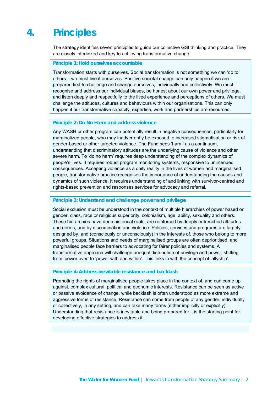### **4. Principles**

The strategy identifies seven principles to guide our collective GSI thinking and practice. They are closely interlinked and key to achieving transformative change.

**Principle 1: Hold ourselves accountable** 

Transformation starts with ourselves. Social transformation is not something we can 'do to' others – we must live it ourselves. Positive societal change can only happen if we are prepared first to challenge and change ourselves, individually and collectively. We must recognise and address our individual biases, be honest about our own power and privilege, and listen deeply and respectfully to the lived experience and perceptions of others. We must challenge the attitudes, cultures and behaviours within our organisations. This can only happen if our transformative capacity, expertise, work and partnerships are resourced.

#### **Principle 2: Do No Harm and address violence**

Any WASH or other program can potentially result in negative consequences, particularly for marginalized people, who may inadvertently be exposed to increased stigmatisation or risk of gender-based or other targeted violence. The Fund sees 'harm' as a continuum, understanding that discriminatory attitudes are the underlying cause of violence and other severe harm. To 'do no harm' requires deep understanding of the complex dynamics of people's lives. It requires robust program monitoring systems, responsive to unintended consequences. Accepting violence as a daily reality in the lives of women and marginalised people, transformative practice recognises the importance of understanding the causes and dynamics of such violence. It requires understanding of and linking with survivor-centred and rights-based prevention and responses services for advocacy and referral.

#### **Principle 3: Understand and challenge power and privilege**

Social exclusion must be understood in the context of multiple hierarchies of power based on gender, class, race or religious superiority, colonialism, age, ability, sexuality and others. These hierarchies have deep historical roots, are reinforced by deeply entrenched attitudes and norms, and by discrimination and violence. Policies, services and programs are largely designed by, and (consciously or unconsciously) in the interests of, those who belong to more powerful groups. Situations and needs of marginalised groups are often deprioritised, and marginalised people face barriers to advocating for fairer policies and systems. A transformative approach will challenge unequal distribution of privilege and power, shifting from 'power over' to 'power with and within'. This links in with the concept of 'allyship'.

#### **Principle 4: Address inevitable resistance and backlash**

Promoting the rights of marginalised people takes place in the context of, and can come up against, complex cultural, political and economic interests. Resistance can be seen as active or passive avoidance of change, while backlash is often understood as more extreme and aggressive forms of resistance. Resistance can come from people of any gender, individually or collectively, in any setting, and can take many forms (either implicitly or explicitly). Understanding that resistance is inevitable and being prepared for it is the starting point for developing effective strategies to address it.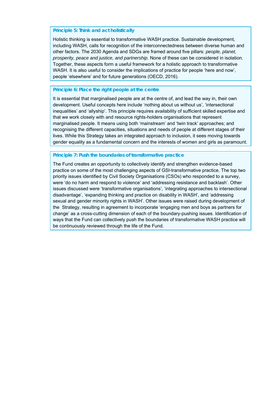#### **Principle 5: Think and act holistically**

Holistic thinking is essential to transformative WASH practice. Sustainable development, including WASH, calls for recognition of the interconnectedness between diverse human and other factors. The 2030 Agenda and SDGs are framed around five pillars: *people, planet, prosperity, peace and justice, and partnership*. None of these can be considered in isolation. Together, these aspects form a useful framework for a holistic approach to transformative WASH. It is also useful to consider the implications of practice for people 'here and now', people 'elsewhere' and for future generations (OECD, 2016).

### **Principle 6: Place the right people at the centre**

It is essential that marginalised people are at the centre of, and lead the way in, their own development. Useful concepts here include 'nothing about us without us', 'intersectional inequalities' and 'allyship'. This principle requires availability of sufficient skilled expertise and that we work closely with and resource rights-holders organisations that represent marginalised people. It means using both 'mainstream' and 'twin track' approaches; and recognising the different capacities, situations and needs of people at different stages of their lives. While this Strategy takes an integrated approach to inclusion, it sees moving towards gender equality as a fundamental concern and the interests of women and girls as paramount.

#### **Principle 7: Push the boundaries of transformative practice**

The Fund creates an opportunity to collectively identify and strengthen evidence-based practice on some of the most challenging aspects of GSI-transformative practice. The top two priority issues identified by Civil Society Organisations (CSOs) who responded to a survey, were 'do no harm and respond to violence' and 'addressing resistance and backlash'. Other issues discussed were 'transformative organisations', 'integrating approaches to intersectional disadvantage', 'expanding thinking and practice on disability in WASH', and 'addressing sexual and gender minority rights in WASH'. Other issues were raised during development of the Strategy, resulting in agreement to incorporate 'engaging men and boys as partners for change' as a cross-cutting dimension of each of the boundary-pushing issues. Identification of ways that the Fund can collectively push the boundaries of transformative WASH practice will be continuously reviewed through the life of the Fund.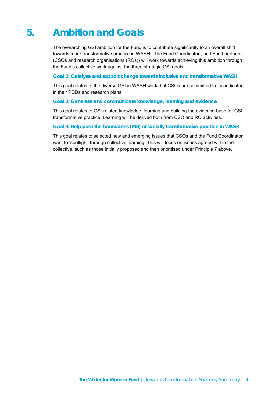# **5. Ambition and Goals**

The overarching GSI ambition for the Fund is to contribute significantly to an overall shift towards more transformative practice in WASH. The Fund Coordinator , and Fund partners (CSOs and research organisations (ROs)) will work towards achieving this ambition through the Fund's collective work against the three strategic GSI goals:

#### *Goal 1: Catalyse and support change towards inclusive and transformative WASH*

This goal relates to the diverse GSI in WASH work that CSOs are committed to, as indicated in their PDDs and research plans.

### *Goal 2: Generate and communicate knowledge, learning and evidence*

This goal relates to GSI-related knowledge, learning and building the evidence-base for GSI transformative practice. Learning will be derived both from CSO and RO activities.

#### *Goal 3: Help push the boundaries (PTB) of socially transformative practice in WASH*

This goal relates to selected new and emerging issues that CSOs and the Fund Coordinator want to 'spotlight' through collective learning. This will focus on issues agreed within the collective, such as those initially proposed and then prioritised under Principle 7 above.